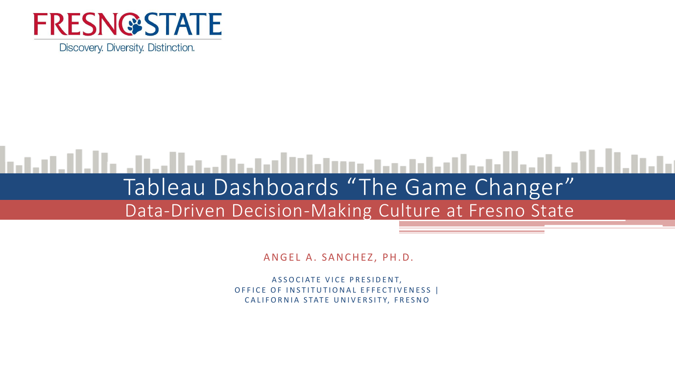

Discovery. Diversity. Distinction.

#### المطالب المتمالية والمتحاول والمتناط التالية والمتحال والمالية والمتناوب Tableau Dashboards "The Game Changer" Data-Driven Decision-Making Culture at Fresno State

ANGEL A. SANCHEZ, PH.D.

ASSOCIATE VICE PRESIDENT, OFFICE OF INSTITUTIONAL EFFECTIVENESS | CALIFORNIA STATE UNIVERSITY, FRESNO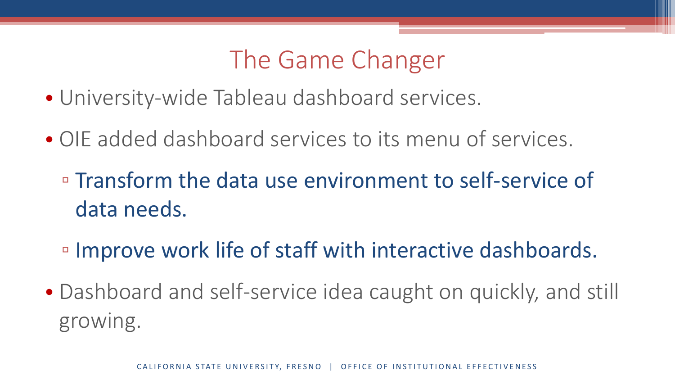## The Game Changer

- University-wide Tableau dashboard services.
- OIE added dashboard services to its menu of services.
	- Transform the data use environment to self-service of data needs.
	- Improve work life of staff with interactive dashboards.
- Dashboard and self-service idea caught on quickly, and still growing.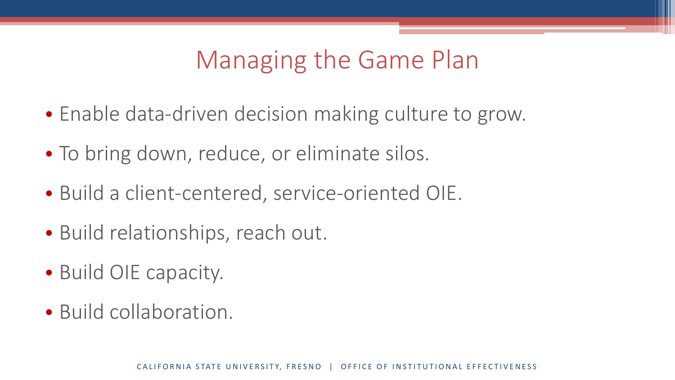# Managing the Game Plan

- Enable data-driven decision making culture to grow.
- To bring down, reduce, or eliminate silos.
- Build a client-centered, service-oriented OIE.
- Build relationships, reach out.
- Build OIE capacity.
- Build collaboration.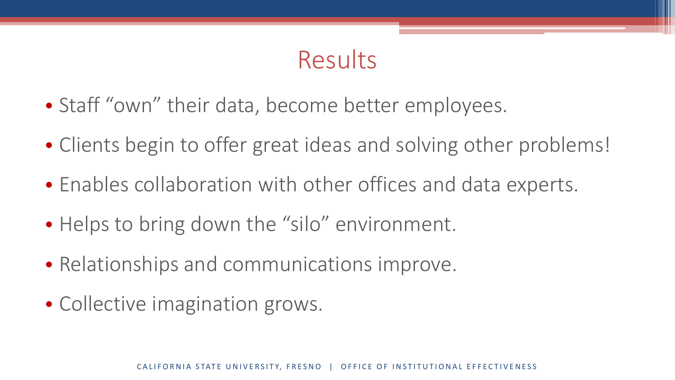## Results

- Staff "own" their data, become better employees.
- Clients begin to offer great ideas and solving other problems!
- Enables collaboration with other offices and data experts.
- Helps to bring down the "silo" environment.
- Relationships and communications improve.
- Collective imagination grows.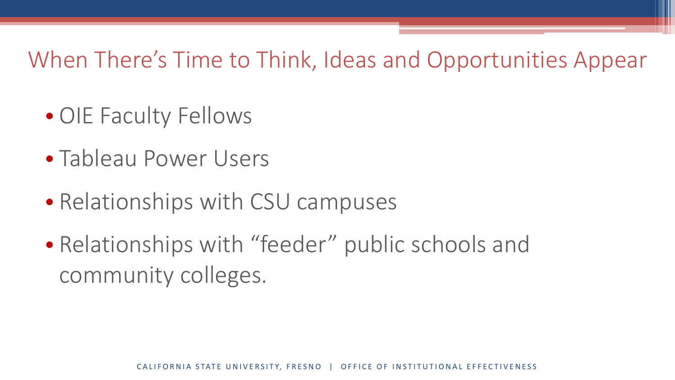#### When There's Time to Think, Ideas and Opportunities Appear

- OIE Faculty Fellows
- Tableau Power Users
- Relationships with CSU campuses
- Relationships with "feeder" public schools and community colleges.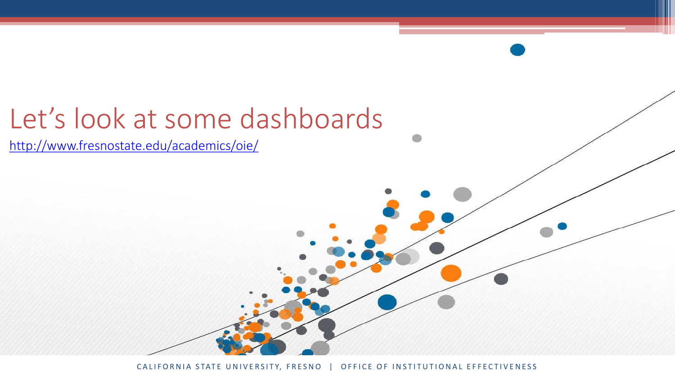# Let's look at some dashboards

<http://www.fresnostate.edu/academics/oie/>

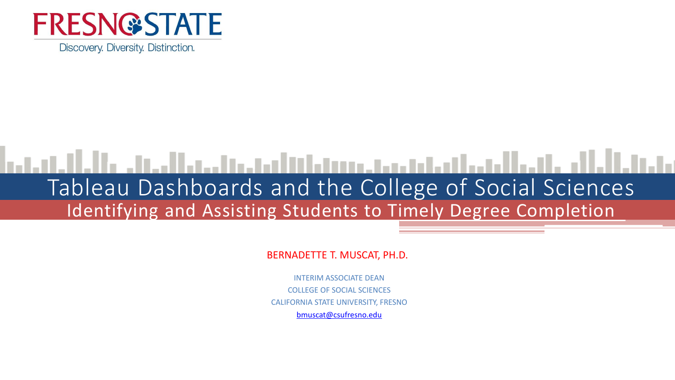

Discovery. Diversity. Distinction.

#### المسالح واللواسط المطمئن ومستوا فالتالية فيتواطئ والمرادات Tableau Dashboards and the College of Social Sciences Identifying and Assisting Students to Timely Degree Completion

BERNADETTE T. MUSCAT, PH.D.

INTERIM ASSOCIATE DEAN COLLEGE OF SOCIAL SCIENCES CALIFORNIA STATE UNIVERSITY, FRESNO [bmuscat@csufresno.edu](mailto:bmuscat@csufresno.edu)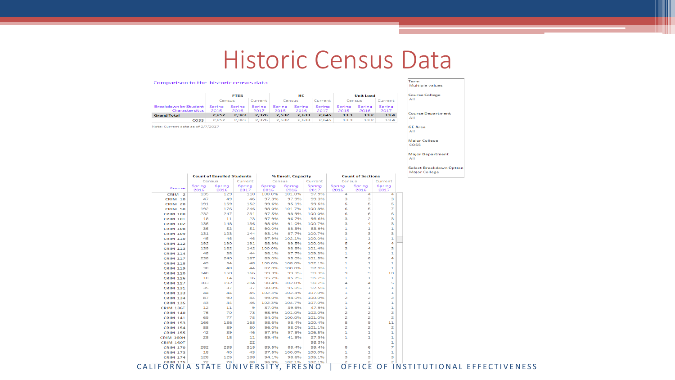#### Historic Census Data

#### Comparison to the historic census data

|                                                      | <b>FTES</b>    |                |                |                       | HC             |                       | <b>Unit Load</b> |                |                |  |
|------------------------------------------------------|----------------|----------------|----------------|-----------------------|----------------|-----------------------|------------------|----------------|----------------|--|
|                                                      | Census         |                | Current        | Census                |                | Current               | Census           |                | Current        |  |
| <b>Breakdown by Student</b><br><b>Charactersitcs</b> | Spring<br>2015 | Spring<br>2016 | Spring<br>2017 | <b>Spring</b><br>2015 | Spring<br>2016 | <b>Spring</b><br>2017 | Spring<br>2015   | Spring<br>2016 | Spring<br>2017 |  |
| <b>Grand Total</b>                                   | 2.252          | 2.327          | 2.376          | 2.532                 | 2.633          | 2.645                 | 13.3             | 13.2           | 13.4           |  |
| <b>COSS</b>                                          | 2.252          | 2.327          | 2.376          | 2.532                 | 2.633          | 2.645                 | 13.3             | 13.2           | 13.4           |  |

Note: Current data as of 2/7/2017

Course College AII Course Department

Multiple values

**GE** Area AII<sup></sup>

Term

Major College **COSS** 

Major Department

Select Breakdown Option Major College

|                                          |                | <b>Count of Enrolled Students</b> |                |                                                      | % Enroll. Capacity |                |                                  | <b>Count of Sections</b>                 |                |                      |
|------------------------------------------|----------------|-----------------------------------|----------------|------------------------------------------------------|--------------------|----------------|----------------------------------|------------------------------------------|----------------|----------------------|
|                                          | Census         |                                   | Current        | Census                                               |                    | Current        |                                  | Census                                   |                |                      |
| Course                                   | Spring<br>2015 | Spring<br>2016                    | Spring<br>2017 | Spring<br>Spring<br>2015<br>2016                     |                    | Spring<br>2017 | Spring<br>Spring<br>2015<br>2016 |                                          | Spring<br>2017 |                      |
| CRIM <sub>2</sub>                        | 135            | 129                               | 110            | 100.0%                                               | 101.0%             | 97.9%          | 4                                | Δ                                        | 4              |                      |
| <b>CRIM 10</b>                           | 47             | 49                                | 46             | 97.3%                                                | 97.9%              | 99.3%          | з                                | з                                        | з              |                      |
| <b>CRIM 20</b>                           | 191            | 169                               | 152            | 99.6%                                                | 95.1%              | 99.5%          | 5                                | 5                                        | 5              |                      |
| CRIM 50                                  | 192            | 176                               | 246            | 98.0%                                                | 101.7%             | 100.8%         | 6                                | 5                                        | 7              |                      |
| <b>CRIM 100</b>                          | 232            | 247                               | 231            | 97.5%                                                | 98.9%              | 100.0%         | 6                                | 6                                        | 6              |                      |
| <b>CRIM 101</b>                          | 18             | 11                                | 23             | 97.9%                                                | 96.7%              | 98.6%          | з                                | 2                                        | з              |                      |
| <b>CRIM 102</b>                          | 135            | 148                               | 136            | 98.6%                                                | 91.0%              | 100.7%         | з                                | 4                                        | з              |                      |
| <b>CRIM 108</b>                          | 35             | 52                                | 51             | 90.0%                                                | 88.3%              | 83.9%          | 1                                | 1                                        | 1              |                      |
| <b>CRIM 109</b>                          | 131            | 123                               | 144            | 93.1%                                                | 87.7%              | 100.7%         | з                                | з                                        | з              |                      |
| <b>CRIM 110</b>                          | 45             | 46                                | 46             | 97.9%                                                | 102.1%             | 100.0%         | $\mathbf{1}$                     | 1                                        | 1              |                      |
| <b>CRIM 112</b>                          | 192            | 190                               | 191            | 88.9%                                                | 99.5%              | 100.0%         | 5                                | 4                                        | 4              |                      |
| <b>CRIM 113</b>                          | 139            | 162                               | 142            | 100.0%                                               | 98.8%              | 101.4%         | з                                | 4                                        | з              |                      |
| <b>CRIM 114</b>                          | 48             | 38                                | 44             | 98.1%                                                | 97.7%              | 109.3%         | $\mathbf{1}$                     | 1                                        | 1              |                      |
| <b>CRIM 117</b>                          | 238            | 240                               | 187            | 89.0%                                                | 95.0%              | 101.5%         | 7                                | 6                                        | 4              |                      |
| <b>CRIM 118</b>                          | 49             | 54                                | 48             | 100.0%                                               | 108.0%             | 102.1%         | 1                                | 1                                        | 1              |                      |
| <b>CRIM 119</b>                          | 38             | 48                                | 44             | 87.0%                                                | 100.0%             | 97.9%          | 1                                | 1                                        | 1              |                      |
| <b>CRIM 120</b>                          | 148            | 150                               | 166            | 99.3%                                                | 99.3%              | 99.3%          | 9                                | 9                                        | 10             |                      |
| <b>CRIM 126</b>                          | 18             | 14                                | 16             | 95.2%                                                | 85.7%              | 95.2%          | 1                                | 1                                        | 1              |                      |
| <b>CRIM 127</b>                          | 183            | 192                               | 204            | 98.4%                                                | 102.0%             | 98.2%          | 4                                | 4                                        | 5              |                      |
| <b>CRIM 131</b>                          | 35             | 37                                | 37             | 90.0%                                                | 95.0%              | 97.5%          | 1                                | 1                                        | 1              |                      |
| <b>CRIM 133</b>                          | 44             | 44                                | 45             | 102.3%                                               | 102.3%             | 107.0%         | 1                                | 1                                        | 1              |                      |
| <b>CRIM 134</b>                          | 87             | 90                                | 84             | 99.0%                                                | 98.0%              | 100.0%         | $\overline{2}$                   | $\overline{z}$                           | 2              |                      |
| <b>CRIM 135</b>                          | 43             | 44                                | 46             | 102.3%                                               | 104.7%             | 107.0%         | 1                                | 1                                        | 1              |                      |
| <b>CRIM 136T</b>                         | $12^{12}$      | 11                                | 9              | 37.0%                                                | 39.6%              | 47.9%          | $\mathbf{1}$                     | 1                                        | 1              |                      |
| <b>CRIM 140</b>                          | 75             | 70                                | 73             | 98.9%                                                | 101.0%             | 102.0%         | $\overline{2}$                   | $\overline{c}$                           | 2              |                      |
| <b>CRIM 141</b>                          | 69             | 77                                | 75             | 94.0%                                                | 100.0%             | 101.0%         | $\overline{z}$                   | $\overline{2}$                           | $\overline{2}$ |                      |
| <b>CRIM 153</b>                          | 166            | 136                               | 165            | 98.6%                                                | 98.4%              | 100.4%         | 8                                | 9                                        | 11             |                      |
| <b>CRIM 154</b>                          | 88             | 89                                | 80             | 96.0%                                                | 98.0%              | 101.1%         | $\overline{2}$                   | 2                                        | $\overline{c}$ |                      |
| <b>CRIM 155</b>                          | 42             | 39                                | 46             | 97.9%                                                | 97.9%              | 106.5%         | 1                                | 1                                        | 1              |                      |
| <b>CRIM 160H</b>                         | 25             | 18                                | 11             | 69.4%                                                | 41.9%              | 27.9%          | $\mathbf{1}$                     | 1                                        | 1              |                      |
| <b>CRIM 160T</b>                         |                |                                   | 22             |                                                      |                    | 93.3%          |                                  |                                          | 1              |                      |
| <b>CRIM 170</b>                          | 282            | 238                               | 315            | 89.5%                                                | 88.4%              | 99.4%          | 8                                | 6                                        | 7              |                      |
| <b>CRIM 173</b>                          | 18             | 40                                | 43             | 37.5%                                                | 100.0%             | 100.0%         | 1                                | 1                                        | 1              |                      |
| <b>CRIM 174</b>                          | 128            | 125                               | 138            | 94.1%                                                | 98.6%              | 105.1%         | з                                | з                                        | з              |                      |
| <b>CRIM 175</b>                          | 72             | 78                                | 88             | 96.9%                                                | 102.1%             | 102.1%         | $\overline{a}$                   | 2                                        | $\overline{a}$ |                      |
| $I$ $\Gamma$ $\cap$ $\Gamma$ $I$ $I$ $I$ | <b>CTATE</b>   |                                   |                | $11$ N $11$ $11$ $\Gamma$ D $C$ $1$ $\mathbf{T}$ $V$ |                    | <b>FDFCNO</b>  |                                  | $\cap$ $\Gamma$ $\Gamma$ $\cap$ $\Gamma$ | O F .          | $\overline{1}$ N I C |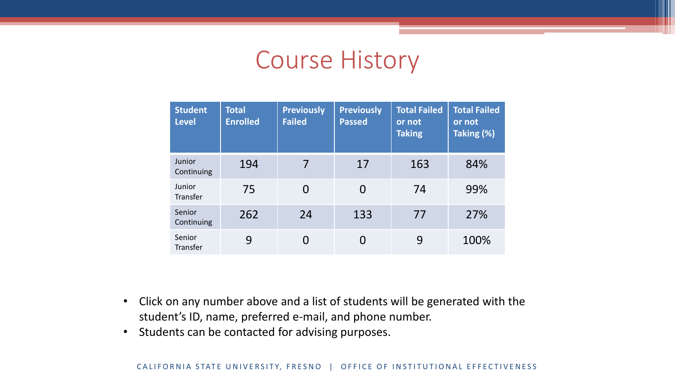#### Course History

| <b>Student</b><br><b>Level</b> | <b>Total</b><br><b>Enrolled</b> | <b>Previously</b><br><b>Failed</b> | <b>Previously</b><br><b>Passed</b> | <b>Total Failed</b><br>or not<br><b>Taking</b> | <b>Total Failed</b><br>or not<br>Taking (%) |
|--------------------------------|---------------------------------|------------------------------------|------------------------------------|------------------------------------------------|---------------------------------------------|
| Junior<br>Continuing           | 194                             | 7                                  | 17                                 | 163                                            | 84%                                         |
| Junior<br>Transfer             | 75                              | $\overline{0}$                     | 0                                  | 74                                             | 99%                                         |
| Senior<br>Continuing           | 262                             | 24                                 | 133                                | 77                                             | 27%                                         |
| Senior<br>Transfer             | 9                               | 0                                  |                                    | 9                                              | 100%                                        |

- Click on any number above and a list of students will be generated with the student's ID, name, preferred e-mail, and phone number.
- Students can be contacted for advising purposes.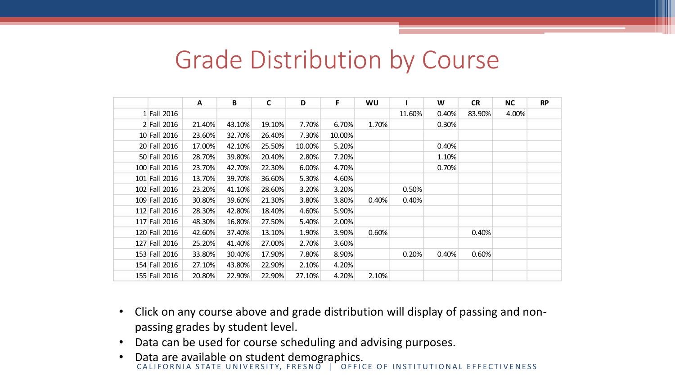|               | <b>Grade Distribution by Course</b> |        |              |        |        |       |        |       |           |           |           |
|---------------|-------------------------------------|--------|--------------|--------|--------|-------|--------|-------|-----------|-----------|-----------|
|               |                                     |        |              |        |        |       |        |       |           |           |           |
|               | A                                   | B      | $\mathsf{C}$ | D      | F      | WU    |        | W     | <b>CR</b> | <b>NC</b> | <b>RP</b> |
| 1 Fall 2016   |                                     |        |              |        |        |       | 11.60% | 0.40% | 83.90%    | 4.00%     |           |
| 2 Fall 2016   | 21.40%                              | 43.10% | 19.10%       | 7.70%  | 6.70%  | 1.70% |        | 0.30% |           |           |           |
| 10 Fall 2016  | 23.60%                              | 32.70% | 26.40%       | 7.30%  | 10.00% |       |        |       |           |           |           |
| 20 Fall 2016  | 17.00%                              | 42.10% | 25.50%       | 10.00% | 5.20%  |       |        | 0.40% |           |           |           |
| 50 Fall 2016  | 28.70%                              | 39.80% | 20.40%       | 2.80%  | 7.20%  |       |        | 1.10% |           |           |           |
| 100 Fall 2016 | 23.70%                              | 42.70% | 22.30%       | 6.00%  | 4.70%  |       |        | 0.70% |           |           |           |
| 101 Fall 2016 | 13.70%                              | 39.70% | 36.60%       | 5.30%  | 4.60%  |       |        |       |           |           |           |
| 102 Fall 2016 | 23.20%                              | 41.10% | 28.60%       | 3.20%  | 3.20%  |       | 0.50%  |       |           |           |           |
| 109 Fall 2016 | 30.80%                              | 39.60% | 21.30%       | 3.80%  | 3.80%  | 0.40% | 0.40%  |       |           |           |           |
| 112 Fall 2016 | 28.30%                              | 42.80% | 18.40%       | 4.60%  | 5.90%  |       |        |       |           |           |           |
| 117 Fall 2016 | 48.30%                              | 16.80% | 27.50%       | 5.40%  | 2.00%  |       |        |       |           |           |           |
| 120 Fall 2016 | 42.60%                              | 37.40% | 13.10%       | 1.90%  | 3.90%  | 0.60% |        |       | 0.40%     |           |           |
| 127 Fall 2016 | 25.20%                              | 41.40% | 27.00%       | 2.70%  | 3.60%  |       |        |       |           |           |           |
| 153 Fall 2016 | 33.80%                              | 30.40% | 17.90%       | 7.80%  | 8.90%  |       | 0.20%  | 0.40% | 0.60%     |           |           |
| 154 Fall 2016 | 27.10%                              | 43.80% | 22.90%       | 2.10%  | 4.20%  |       |        |       |           |           |           |
| 155 Fall 2016 | 20.80%                              | 22.90% | 22.90%       | 27.10% | 4.20%  | 2.10% |        |       |           |           |           |

- Click on any course above and grade distribution will display of passing and nonpassing grades by student level.
- Data can be used for course scheduling and advising purposes.
- CALIFORNIA STATE UNIVERSITY, FRESNO | OFFICE OF INSTITUTIONAL EFFECTIVENESS • Data are available on student demographics.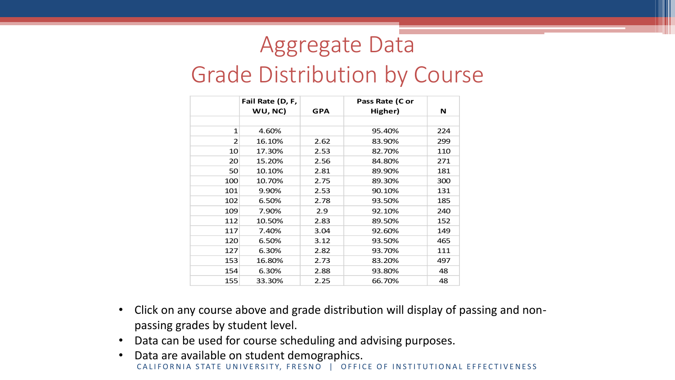### Aggregate Data

#### Grade Distribution by Course

|     | Fail Rate (D, F,<br>WU, NC) | <b>GPA</b> | Pass Rate (C or<br>Higher) | N   |
|-----|-----------------------------|------------|----------------------------|-----|
|     |                             |            |                            |     |
| 1   | 4.60%                       |            | 95.40%                     | 224 |
| 2   | 16.10%                      | 2.62       | 83.90%                     | 299 |
| 10  | 17.30%                      | 2.53       | 82.70%                     | 110 |
| 20  | 15.20%                      | 2.56       | 84.80%                     | 271 |
| 50  | 10.10%                      | 2.81       | 89.90%                     | 181 |
| 100 | 10.70%                      | 2.75       | 89.30%                     | 300 |
| 101 | 9.90%                       | 2.53       | 90.10%                     | 131 |
| 102 | 6.50%                       | 2.78       | 93.50%                     | 185 |
| 109 | 7.90%                       | 2.9        | 92.10%                     | 240 |
| 112 | 10.50%                      | 2.83       | 89.50%                     | 152 |
| 117 | 7.40%                       | 3.04       | 92.60%                     | 149 |
| 120 | 6.50%                       | 3.12       | 93.50%                     | 465 |
| 127 | 6.30%                       | 2.82       | 93.70%                     | 111 |
| 153 | 16.80%                      | 2.73       | 83.20%                     | 497 |
| 154 | 6.30%                       | 2.88       | 93.80%                     | 48  |
| 155 | 33.30%                      | 2.25       | 66.70%                     | 48  |

- Click on any course above and grade distribution will display of passing and nonpassing grades by student level.
- Data can be used for course scheduling and advising purposes.
- CALIFORNIA STATE UNIVERSITY, FRESNO | OFFICE OF INSTITUTIONAL EFFECTIVENESS • Data are available on student demographics.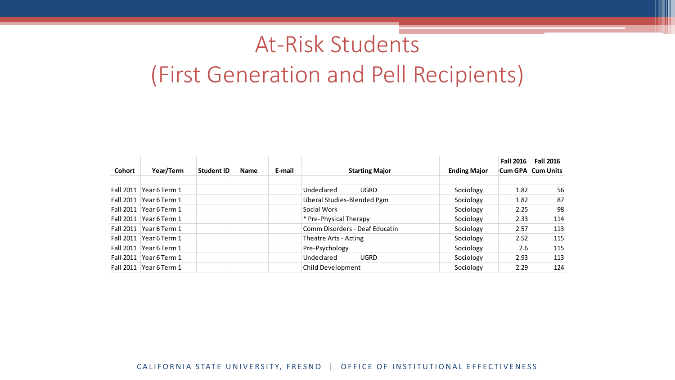#### At-Risk Students

#### (First Generation and Pell Recipients)

|                  |               |                   |             |        |                                |                     | <b>Fall 2016</b> | <b>Fall 2016</b>         |
|------------------|---------------|-------------------|-------------|--------|--------------------------------|---------------------|------------------|--------------------------|
| <b>Cohort</b>    | Year/Term     | <b>Student ID</b> | <b>Name</b> | E-mail | <b>Starting Major</b>          | <b>Ending Major</b> |                  | <b>Cum GPA Cum Units</b> |
|                  |               |                   |             |        |                                |                     |                  |                          |
| <b>Fall 2011</b> | Year 6 Term 1 |                   |             |        | Undeclared<br><b>UGRD</b>      | Sociology           | 1.82             | 56                       |
| <b>Fall 2011</b> | Year 6 Term 1 |                   |             |        | Liberal Studies-Blended Pgm    | Sociology           | 1.82             | 87                       |
| <b>Fall 2011</b> | Year 6 Term 1 |                   |             |        | Social Work                    | Sociology           | 2.25             | 98                       |
| Fall 2011        | Year 6 Term 1 |                   |             |        | * Pre-Physical Therapy         | Sociology           | 2.33             | 114                      |
| Fall 2011        | Year 6 Term 1 |                   |             |        | Comm Disorders - Deaf Educatin | Sociology           | 2.57             | 113                      |
| <b>Fall 2011</b> | Year 6 Term 1 |                   |             |        | Theatre Arts - Acting          | Sociology           | 2.52             | 115                      |
| <b>Fall 2011</b> | Year 6 Term 1 |                   |             |        | Pre-Psychology                 | Sociology           | 2.6              | 115                      |
| <b>Fall 2011</b> | Year 6 Term 1 |                   |             |        | Undeclared<br><b>UGRD</b>      | Sociology           | 2.93             | 113                      |
| Fall 2011        | Year 6 Term 1 |                   |             |        | Child Development              | Sociology           | 2.29             | 124                      |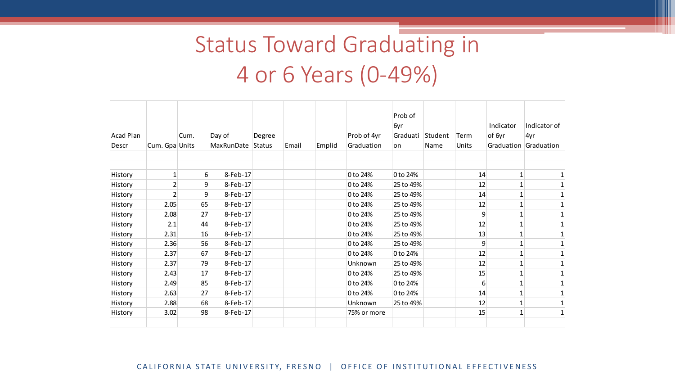# Status Toward Graduating in 4 or 6 Years (0-49%)

| <b>Acad Plan</b><br>Descr | Cum. Gpa Units | Cum. | Day of<br>MaxRunDate | Degree<br>Status | Email | Emplid | Prob of 4yr<br>Graduation | Prob of<br>6yr<br>Graduati<br>on | Student<br>Name | Term<br>Units | Indicator<br>of 6yr<br>Graduation | Indicator of<br>4yr<br>Graduation |
|---------------------------|----------------|------|----------------------|------------------|-------|--------|---------------------------|----------------------------------|-----------------|---------------|-----------------------------------|-----------------------------------|
| History                   |                | 6    | 8-Feb-17             |                  |       |        | 0 to 24%                  | 0 to 24%                         |                 | 14            |                                   |                                   |
| History                   | 2              | 9    | 8-Feb-17             |                  |       |        | 0 to 24%                  | 25 to 49%                        |                 | 12            |                                   |                                   |
| History                   | 2              | 9    | 8-Feb-17             |                  |       |        | 0 to 24%                  | 25 to 49%                        |                 | 14            |                                   |                                   |
| History                   | 2.05           | 65   | 8-Feb-17             |                  |       |        | 0 to 24%                  | 25 to 49%                        |                 | 12            |                                   |                                   |
| History                   | 2.08           | 27   | 8-Feb-17             |                  |       |        | 0 to 24%                  | 25 to 49%                        |                 | 9             |                                   |                                   |
| History                   | 2.1            | 44   | 8-Feb-17             |                  |       |        | 0 to 24%                  | 25 to 49%                        |                 | 12            |                                   |                                   |
| History                   | 2.31           | 16   | 8-Feb-17             |                  |       |        | 0 to 24%                  | 25 to 49%                        |                 | 13            |                                   |                                   |
| History                   | 2.36           | 56   | 8-Feb-17             |                  |       |        | 0 to 24%                  | 25 to 49%                        |                 | 9             |                                   |                                   |
| History                   | 2.37           | 67   | 8-Feb-17             |                  |       |        | 0 to 24%                  | 0 to 24%                         |                 | 12            |                                   |                                   |
| History                   | 2.37           | 79   | 8-Feb-17             |                  |       |        | Unknown                   | 25 to 49%                        |                 | 12            |                                   |                                   |
| History                   | 2.43           | 17   | 8-Feb-17             |                  |       |        | 0 to 24%                  | 25 to 49%                        |                 | 15            |                                   |                                   |
| History                   | 2.49           | 85   | 8-Feb-17             |                  |       |        | 0 to 24%                  | 0 to 24%                         |                 | 6             |                                   |                                   |
| History                   | 2.63           | 27   | 8-Feb-17             |                  |       |        | 0 to 24%                  | 0 to 24%                         |                 | 14            |                                   |                                   |
| History                   | 2.88           | 68   | 8-Feb-17             |                  |       |        | Unknown                   | 25 to 49%                        |                 | 12            |                                   |                                   |
| History                   | 3.02           | 98   | 8-Feb-17             |                  |       |        | 75% or more               |                                  |                 | 15            |                                   |                                   |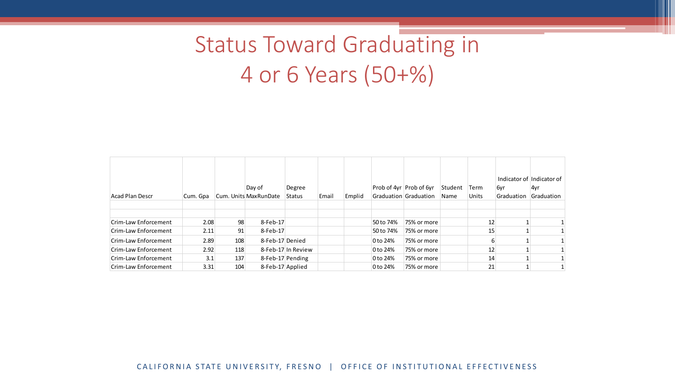# Status Toward Graduating in 4 or 6 Years (50+%)

|                      |          |     | Day of                | Degree             |       |        |           | Prob of 4yr Prob of 6yr | Student | Term  | 6yr        | Indicator of Indicator of<br>4yr |
|----------------------|----------|-----|-----------------------|--------------------|-------|--------|-----------|-------------------------|---------|-------|------------|----------------------------------|
| Acad Plan Descr      | Cum. Gpa |     | Cum. Units MaxRunDate | Status             | Email | Emplid |           | Graduation Graduation   | Name    | Units | Graduation | Graduation                       |
|                      |          |     |                       |                    |       |        |           |                         |         |       |            |                                  |
| Crim-Law Enforcement | 2.08     | 98  | 8-Feb-17              |                    |       |        | 50 to 74% | 75% or more             |         | 12    |            |                                  |
|                      |          |     |                       |                    |       |        |           |                         |         |       |            |                                  |
| Crim-Law Enforcement | 2.11     | 91  | 8-Feb-17              |                    |       |        | 50 to 74% | 75% or more             |         | 15    |            |                                  |
| Crim-Law Enforcement | 2.89     | 108 | 8-Feb-17 Denied       |                    |       |        | 0 to 24%  | 75% or more             |         |       |            |                                  |
| Crim-Law Enforcement | 2.92     | 118 |                       | 8-Feb-17 In Review |       |        | 0 to 24%  | 75% or more             |         | 12    |            |                                  |
| Crim-Law Enforcement | 3.1      | 137 | 8-Feb-17 Pending      |                    |       |        | 0 to 24%  | 75% or more             |         | 14    |            |                                  |
| Crim-Law Enforcement | 3.31     | 104 | 8-Feb-17 Applied      |                    |       |        | 0 to 24%  | 75% or more             |         | 21    |            |                                  |